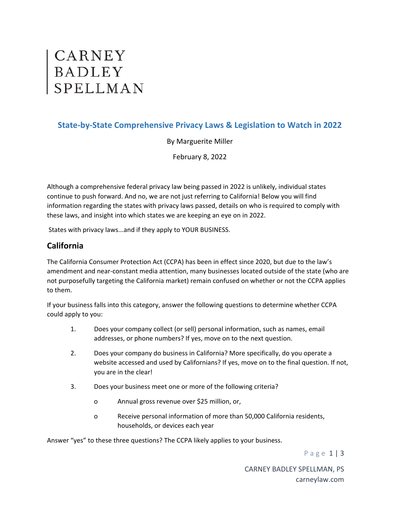# CARNEY<br>BADLEY<br>SPELLMAN

# **State‐by‐State Comprehensive Privacy Laws & Legislation to Watch in 2022**

By Marguerite Miller

February 8, 2022

Although a comprehensive federal privacy law being passed in 2022 is unlikely, individual states continue to push forward. And no, we are not just referring to California! Below you will find information regarding the states with privacy laws passed, details on who is required to comply with these laws, and insight into which states we are keeping an eye on in 2022.

States with privacy laws...and if they apply to YOUR BUSINESS.

### **California**

The California Consumer Protection Act (CCPA) has been in effect since 2020, but due to the law's amendment and near‐constant media attention, many businesses located outside of the state (who are not purposefully targeting the California market) remain confused on whether or not the CCPA applies to them.

If your business falls into this category, answer the following questions to determine whether CCPA could apply to you:

- 1. Does your company collect (or sell) personal information, such as names, email addresses, or phone numbers? If yes, move on to the next question.
- 2. Does your company do business in California? More specifically, do you operate a website accessed and used by Californians? If yes, move on to the final question. If not, you are in the clear!
- 3. Does your business meet one or more of the following criteria?
	- o Annual gross revenue over \$25 million, or,
	- o Receive personal information of more than 50,000 California residents, households, or devices each year

Answer "yes" to these three questions? The CCPA likely applies to your business.

Page 1 | 3

CARNEY BADLEY SPELLMAN, PS carneylaw.com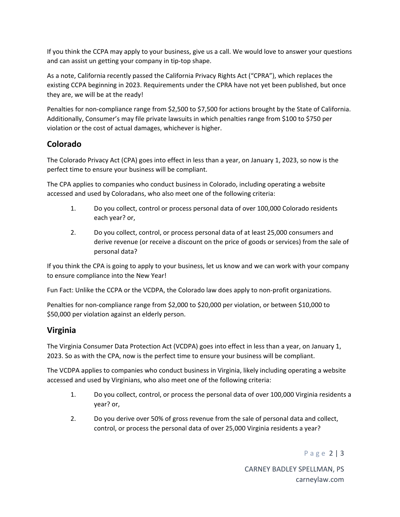If you think the CCPA may apply to your business, give us a call. We would love to answer your questions and can assist un getting your company in tip-top shape.

As a note, California recently passed the California Privacy Rights Act ("CPRA"), which replaces the existing CCPA beginning in 2023. Requirements under the CPRA have not yet been published, but once they are, we will be at the ready!

Penalties for non-compliance range from \$2,500 to \$7,500 for actions brought by the State of California. Additionally, Consumer's may file private lawsuits in which penalties range from \$100 to \$750 per violation or the cost of actual damages, whichever is higher.

# **Colorado**

The Colorado Privacy Act (CPA) goes into effect in less than a year, on January 1, 2023, so now is the perfect time to ensure your business will be compliant.

The CPA applies to companies who conduct business in Colorado, including operating a website accessed and used by Coloradans, who also meet one of the following criteria:

- 1. Do you collect, control or process personal data of over 100,000 Colorado residents each year? or,
- 2. Do you collect, control, or process personal data of at least 25,000 consumers and derive revenue (or receive a discount on the price of goods or services) from the sale of personal data?

If you think the CPA is going to apply to your business, let us know and we can work with your company to ensure compliance into the New Year!

Fun Fact: Unlike the CCPA or the VCDPA, the Colorado law does apply to non-profit organizations.

Penalties for non‐compliance range from \$2,000 to \$20,000 per violation, or between \$10,000 to \$50,000 per violation against an elderly person.

# **Virginia**

The Virginia Consumer Data Protection Act (VCDPA) goes into effect in less than a year, on January 1, 2023. So as with the CPA, now is the perfect time to ensure your business will be compliant.

The VCDPA applies to companies who conduct business in Virginia, likely including operating a website accessed and used by Virginians, who also meet one of the following criteria:

- 1. Do you collect, control, or process the personal data of over 100,000 Virginia residents a year? or,
- 2. Do you derive over 50% of gross revenue from the sale of personal data and collect, control, or process the personal data of over 25,000 Virginia residents a year?

Page 2 | 3

CARNEY BADLEY SPELLMAN, PS carneylaw.com